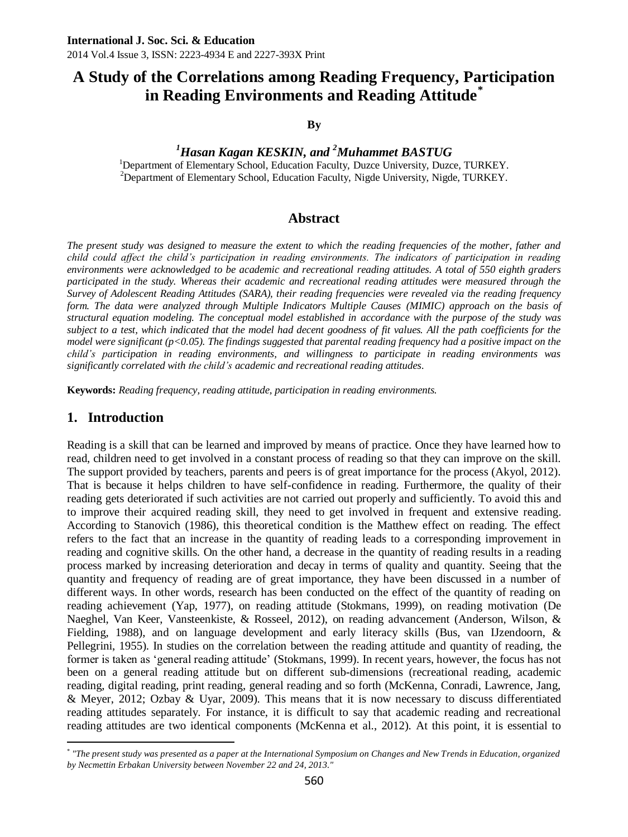# **A Study of the Correlations among Reading Frequency, Participation in Reading Environments and Reading Attitude\***

**By**

#### *<sup>1</sup>Hasan Kagan KESKIN, and <sup>2</sup>Muhammet BASTUG*

<sup>1</sup>Department of Elementary School, Education Faculty, Duzce University, Duzce, TURKEY. <sup>2</sup>Department of Elementary School, Education Faculty, Nigde University, Nigde, TURKEY.

#### **Abstract**

*The present study was designed to measure the extent to which the reading frequencies of the mother, father and child could affect the child's participation in reading environments. The indicators of participation in reading environments were acknowledged to be academic and recreational reading attitudes. A total of 550 eighth graders participated in the study. Whereas their academic and recreational reading attitudes were measured through the Survey of Adolescent Reading Attitudes (SARA), their reading frequencies were revealed via the reading frequency form. The data were analyzed through Multiple Indicators Multiple Causes (MIMIC) approach on the basis of structural equation modeling. The conceptual model established in accordance with the purpose of the study was*  subject to a test, which indicated that the model had decent goodness of fit values. All the path coefficients for the *model were significant (p<0.05). The findings suggested that parental reading frequency had a positive impact on the child's participation in reading environments, and willingness to participate in reading environments was significantly correlated with the child's academic and recreational reading attitudes.*

**Keywords:** *Reading frequency, reading attitude, participation in reading environments.* 

#### **1. Introduction**

 $\overline{a}$ 

Reading is a skill that can be learned and improved by means of practice. Once they have learned how to read, children need to get involved in a constant process of reading so that they can improve on the skill. The support provided by teachers, parents and peers is of great importance for the process (Akyol, 2012). That is because it helps children to have self-confidence in reading. Furthermore, the quality of their reading gets deteriorated if such activities are not carried out properly and sufficiently. To avoid this and to improve their acquired reading skill, they need to get involved in frequent and extensive reading. According to Stanovich (1986), this theoretical condition is the Matthew effect on reading. The effect refers to the fact that an increase in the quantity of reading leads to a corresponding improvement in reading and cognitive skills. On the other hand, a decrease in the quantity of reading results in a reading process marked by increasing deterioration and decay in terms of quality and quantity. Seeing that the quantity and frequency of reading are of great importance, they have been discussed in a number of different ways. In other words, research has been conducted on the effect of the quantity of reading on reading achievement (Yap, 1977), on reading attitude (Stokmans, 1999), on reading motivation (De Naeghel, Van Keer, Vansteenkiste, & Rosseel, 2012), on reading advancement (Anderson, Wilson, & Fielding, 1988), and on language development and early literacy skills (Bus, van IJzendoorn, & Pellegrini, 1955). In studies on the correlation between the reading attitude and quantity of reading, the former is taken as "general reading attitude" (Stokmans, 1999). In recent years, however, the focus has not been on a general reading attitude but on different sub-dimensions (recreational reading, academic reading, digital reading, print reading, general reading and so forth (McKenna, Conradi, Lawrence, Jang, & Meyer, 2012; Ozbay & Uyar, 2009). This means that it is now necessary to discuss differentiated reading attitudes separately. For instance, it is difficult to say that academic reading and recreational reading attitudes are two identical components (McKenna et al., 2012). At this point, it is essential to

<sup>\*</sup> *"The present study was presented as a paper at the International Symposium on Changes and New Trends in Education, organized by Necmettin Erbakan University between November 22 and 24, 2013."*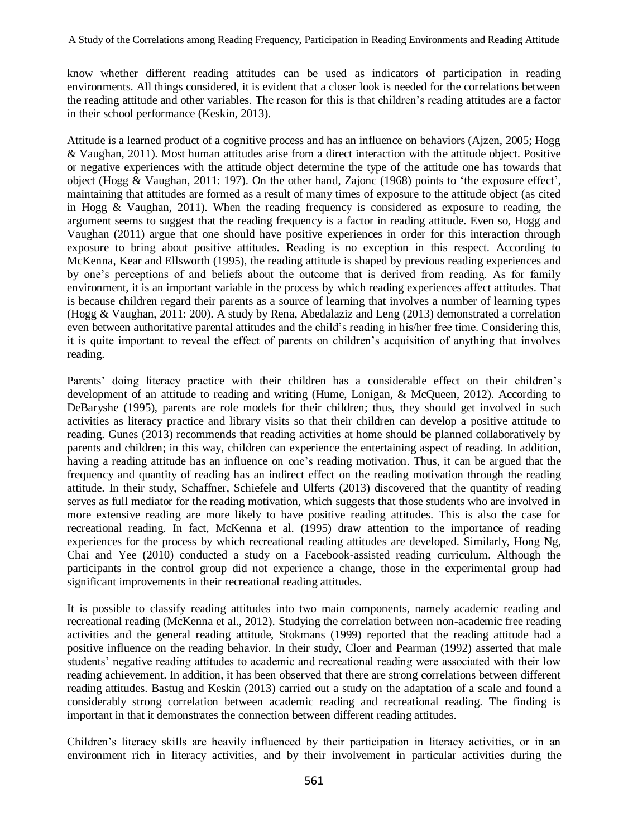know whether different reading attitudes can be used as indicators of participation in reading environments. All things considered, it is evident that a closer look is needed for the correlations between the reading attitude and other variables. The reason for this is that children"s reading attitudes are a factor in their school performance (Keskin, 2013).

Attitude is a learned product of a cognitive process and has an influence on behaviors (Ajzen, 2005; Hogg & Vaughan, 2011). Most human attitudes arise from a direct interaction with the attitude object. Positive or negative experiences with the attitude object determine the type of the attitude one has towards that object (Hogg & Vaughan, 2011: 197). On the other hand, Zajonc (1968) points to "the exposure effect", maintaining that attitudes are formed as a result of many times of exposure to the attitude object (as cited in Hogg & Vaughan, 2011). When the reading frequency is considered as exposure to reading, the argument seems to suggest that the reading frequency is a factor in reading attitude. Even so, Hogg and Vaughan (2011) argue that one should have positive experiences in order for this interaction through exposure to bring about positive attitudes. Reading is no exception in this respect. According to McKenna, Kear and Ellsworth (1995), the reading attitude is shaped by previous reading experiences and by one"s perceptions of and beliefs about the outcome that is derived from reading. As for family environment, it is an important variable in the process by which reading experiences affect attitudes. That is because children regard their parents as a source of learning that involves a number of learning types (Hogg & Vaughan, 2011: 200). A study by Rena, Abedalaziz and Leng (2013) demonstrated a correlation even between authoritative parental attitudes and the child"s reading in his/her free time. Considering this, it is quite important to reveal the effect of parents on children"s acquisition of anything that involves reading.

Parents' doing literacy practice with their children has a considerable effect on their children's development of an attitude to reading and writing (Hume, Lonigan, & McQueen, 2012). According to DeBaryshe (1995), parents are role models for their children; thus, they should get involved in such activities as literacy practice and library visits so that their children can develop a positive attitude to reading. Gunes (2013) recommends that reading activities at home should be planned collaboratively by parents and children; in this way, children can experience the entertaining aspect of reading. In addition, having a reading attitude has an influence on one's reading motivation. Thus, it can be argued that the frequency and quantity of reading has an indirect effect on the reading motivation through the reading attitude. In their study, Schaffner, Schiefele and Ulferts (2013) discovered that the quantity of reading serves as full mediator for the reading motivation, which suggests that those students who are involved in more extensive reading are more likely to have positive reading attitudes. This is also the case for recreational reading. In fact, McKenna et al. (1995) draw attention to the importance of reading experiences for the process by which recreational reading attitudes are developed. Similarly, Hong Ng, Chai and Yee (2010) conducted a study on a Facebook-assisted reading curriculum. Although the participants in the control group did not experience a change, those in the experimental group had significant improvements in their recreational reading attitudes.

It is possible to classify reading attitudes into two main components, namely academic reading and recreational reading (McKenna et al., 2012). Studying the correlation between non-academic free reading activities and the general reading attitude, Stokmans (1999) reported that the reading attitude had a positive influence on the reading behavior. In their study, Cloer and Pearman (1992) asserted that male students" negative reading attitudes to academic and recreational reading were associated with their low reading achievement. In addition, it has been observed that there are strong correlations between different reading attitudes. Bastug and Keskin (2013) carried out a study on the adaptation of a scale and found a considerably strong correlation between academic reading and recreational reading. The finding is important in that it demonstrates the connection between different reading attitudes.

Children"s literacy skills are heavily influenced by their participation in literacy activities, or in an environment rich in literacy activities, and by their involvement in particular activities during the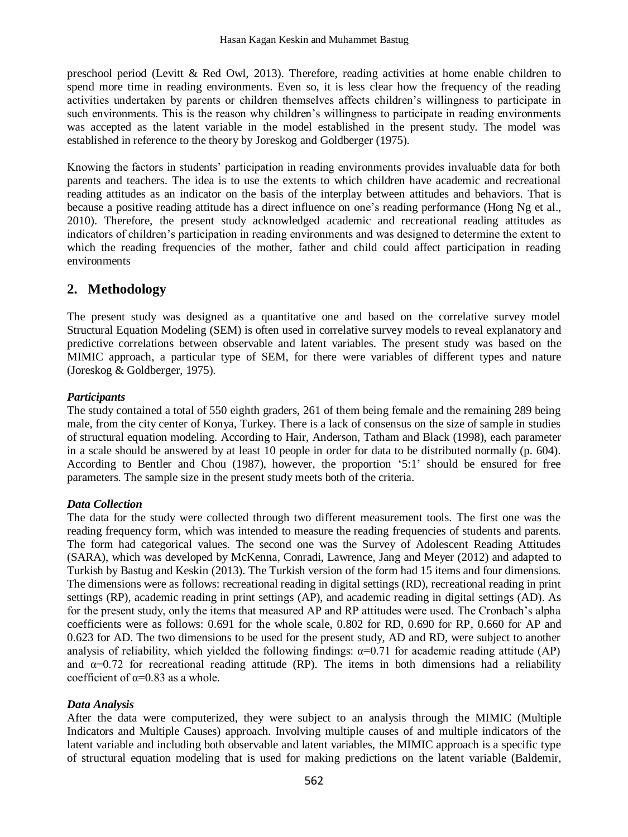preschool period (Levitt & Red Owl, 2013). Therefore, reading activities at home enable children to spend more time in reading environments. Even so, it is less clear how the frequency of the reading activities undertaken by parents or children themselves affects children"s willingness to participate in such environments. This is the reason why children's willingness to participate in reading environments was accepted as the latent variable in the model established in the present study. The model was established in reference to the theory by Joreskog and Goldberger (1975).

Knowing the factors in students" participation in reading environments provides invaluable data for both parents and teachers. The idea is to use the extents to which children have academic and recreational reading attitudes as an indicator on the basis of the interplay between attitudes and behaviors. That is because a positive reading attitude has a direct influence on one"s reading performance (Hong Ng et al., 2010). Therefore, the present study acknowledged academic and recreational reading attitudes as indicators of children"s participation in reading environments and was designed to determine the extent to which the reading frequencies of the mother, father and child could affect participation in reading environments

# **2. Methodology**

The present study was designed as a quantitative one and based on the correlative survey model Structural Equation Modeling (SEM) is often used in correlative survey models to reveal explanatory and predictive correlations between observable and latent variables. The present study was based on the MIMIC approach, a particular type of SEM, for there were variables of different types and nature (Joreskog & Goldberger, 1975).

### *Participants*

The study contained a total of 550 eighth graders, 261 of them being female and the remaining 289 being male, from the city center of Konya, Turkey. There is a lack of consensus on the size of sample in studies of structural equation modeling. According to Hair, Anderson, Tatham and Black (1998), each parameter in a scale should be answered by at least 10 people in order for data to be distributed normally (p. 604). According to Bentler and Chou (1987), however, the proportion "5:1" should be ensured for free parameters. The sample size in the present study meets both of the criteria.

#### *Data Collection*

The data for the study were collected through two different measurement tools. The first one was the reading frequency form, which was intended to measure the reading frequencies of students and parents. The form had categorical values. The second one was the Survey of Adolescent Reading Attitudes (SARA), which was developed by McKenna, Conradi, Lawrence, Jang and Meyer (2012) and adapted to Turkish by Bastug and Keskin (2013). The Turkish version of the form had 15 items and four dimensions. The dimensions were as follows: recreational reading in digital settings (RD), recreational reading in print settings (RP), academic reading in print settings (AP), and academic reading in digital settings (AD). As for the present study, only the items that measured AP and RP attitudes were used. The Cronbach"s alpha coefficients were as follows: 0.691 for the whole scale, 0.802 for RD, 0.690 for RP, 0.660 for AP and 0.623 for AD. The two dimensions to be used for the present study, AD and RD, were subject to another analysis of reliability, which yielded the following findings:  $\alpha=0.71$  for academic reading attitude (AP) and  $\alpha$ =0.72 for recreational reading attitude (RP). The items in both dimensions had a reliability coefficient of  $\alpha$ =0.83 as a whole.

#### *Data Analysis*

After the data were computerized, they were subject to an analysis through the MIMIC (Multiple Indicators and Multiple Causes) approach. Involving multiple causes of and multiple indicators of the latent variable and including both observable and latent variables, the MIMIC approach is a specific type of structural equation modeling that is used for making predictions on the latent variable (Baldemir,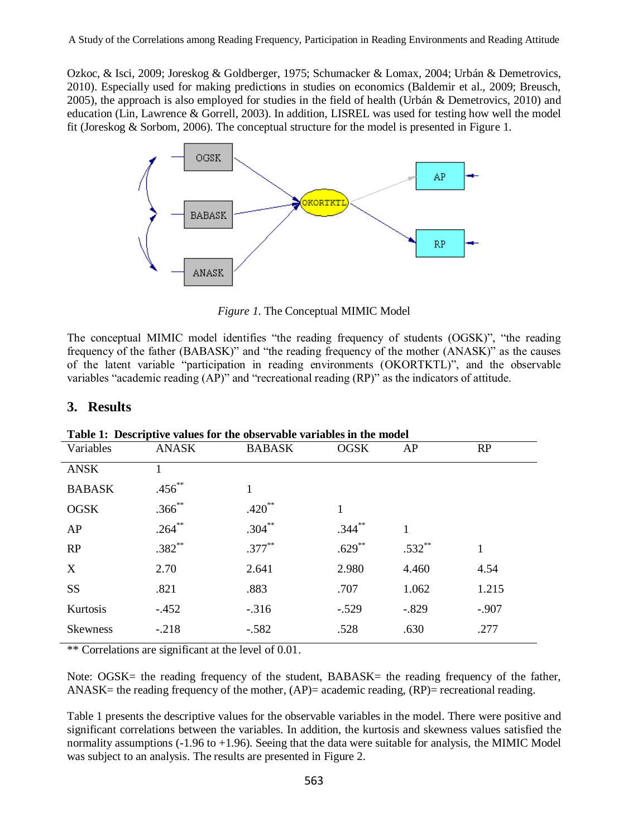Ozkoc, & Isci, 2009; Joreskog & Goldberger, 1975; Schumacker & Lomax, 2004; Urbán & Demetrovics, 2010). Especially used for making predictions in studies on economics (Baldemir et al., 2009; Breusch, 2005), the approach is also employed for studies in the field of health (Urbán & Demetrovics, 2010) and education (Lin, Lawrence & Gorrell, 2003). In addition, LISREL was used for testing how well the model fit (Joreskog & Sorbom, 2006). The conceptual structure for the model is presented in Figure 1.



*Figure 1*. The Conceptual MIMIC Model

The conceptual MIMIC model identifies "the reading frequency of students (OGSK)", "the reading frequency of the father (BABASK)" and "the reading frequency of the mother (ANASK)" as the causes of the latent variable "participation in reading environments (OKORTKTL)", and the observable variables "academic reading (AP)" and "recreational reading (RP)" as the indicators of attitude.

#### **3. Results**

| THOIC IT DESCRIPTED THREES TOP THE ONDER THOIC THE HORSES |             |               |             |          |         |
|-----------------------------------------------------------|-------------|---------------|-------------|----------|---------|
| Variables                                                 | ANASK       | <b>BABASK</b> | <b>OGSK</b> | AP       | RP      |
| <b>ANSK</b>                                               |             |               |             |          |         |
| <b>BABASK</b>                                             | $.456**$    | 1             |             |          |         |
| <b>OGSK</b>                                               | $.366^{**}$ | $.420**$      | 1           |          |         |
| AP                                                        | $.264***$   | $.304***$     | $.344***$   | 1        |         |
| RP                                                        | $.382**$    | $.377***$     | $.629***$   | $.532**$ | 1       |
| X                                                         | 2.70        | 2.641         | 2.980       | 4.460    | 4.54    |
| SS                                                        | .821        | .883          | .707        | 1.062    | 1.215   |
| Kurtosis                                                  | $-.452$     | $-.316$       | $-.529$     | $-.829$  | $-.907$ |
| <b>Skewness</b>                                           | $-.218$     | $-.582$       | .528        | .630     | .277    |
|                                                           |             |               |             |          |         |

**Table 1: Descriptive values for the observable variables in the model**

\*\* Correlations are significant at the level of 0.01.

Note: OGSK= the reading frequency of the student, BABASK= the reading frequency of the father,  $ANASK =$  the reading frequency of the mother,  $(AP) =$  academic reading,  $(RP) =$  recreational reading.

Table 1 presents the descriptive values for the observable variables in the model. There were positive and significant correlations between the variables. In addition, the kurtosis and skewness values satisfied the normality assumptions (-1.96 to +1.96). Seeing that the data were suitable for analysis, the MIMIC Model was subject to an analysis. The results are presented in Figure 2.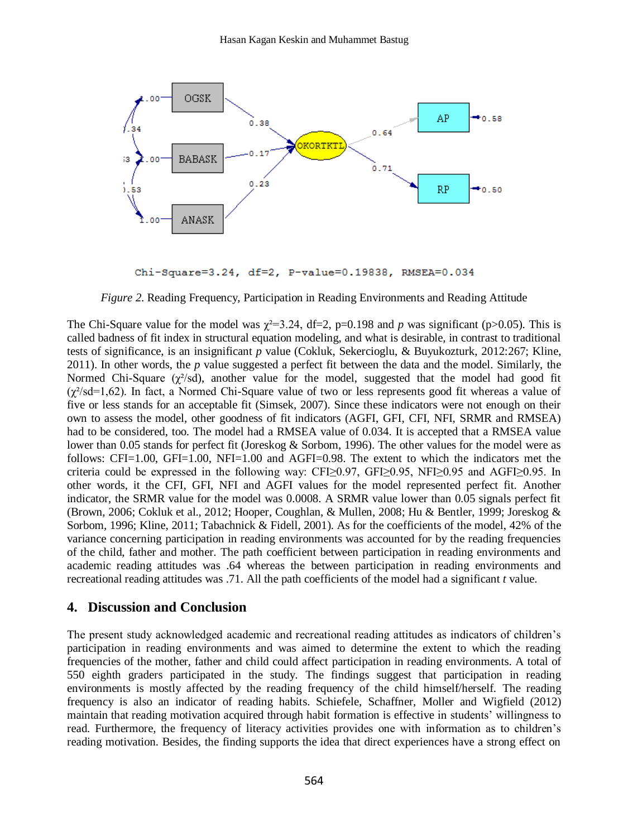

Chi-Square=3.24, df=2, P-value=0.19838, RMSEA=0.034

*Figure 2*. Reading Frequency, Participation in Reading Environments and Reading Attitude

The Chi-Square value for the model was  $\chi^2 = 3.24$ , df=2, p=0.198 and *p* was significant (p>0.05). This is called badness of fit index in structural equation modeling, and what is desirable, in contrast to traditional tests of significance, is an insignificant *p* value (Cokluk, Sekercioglu, & Buyukozturk, 2012:267; Kline, 2011). In other words, the *p* value suggested a perfect fit between the data and the model. Similarly, the Normed Chi-Square  $(\chi^2$ /sd), another value for the model, suggested that the model had good fit  $(\chi^2/\text{sd} = 1,62)$ . In fact, a Normed Chi-Square value of two or less represents good fit whereas a value of five or less stands for an acceptable fit (Simsek, 2007). Since these indicators were not enough on their own to assess the model, other goodness of fit indicators (AGFI, GFI, CFI, NFI, SRMR and RMSEA) had to be considered, too. The model had a RMSEA value of 0.034. It is accepted that a RMSEA value lower than 0.05 stands for perfect fit (Joreskog & Sorbom, 1996). The other values for the model were as follows: CFI=1.00, GFI=1.00, NFI=1.00 and AGFI=0.98. The extent to which the indicators met the criteria could be expressed in the following way: CFI≥0.97, GFI≥0.95, NFI≥0.95 and AGFI≥0.95. In other words, it the CFI, GFI, NFI and AGFI values for the model represented perfect fit. Another indicator, the SRMR value for the model was 0.0008. A SRMR value lower than 0.05 signals perfect fit [\(Brown, 2006;](#page-6-0) [Cokluk et al., 2012;](#page-6-1) [Hooper, Coughlan, & Mullen, 2008;](#page-7-0) [Hu & Bentler, 1999;](#page-7-1) [Joreskog &](#page-7-2)  [Sorbom, 1996;](#page-7-2) [Kline, 2011;](#page-7-3) [Tabachnick & Fidell, 2001\)](#page-8-0). As for the coefficients of the model, 42% of the variance concerning participation in reading environments was accounted for by the reading frequencies of the child, father and mother. The path coefficient between participation in reading environments and academic reading attitudes was .64 whereas the between participation in reading environments and recreational reading attitudes was .71. All the path coefficients of the model had a significant *t* value.

#### **4. Discussion and Conclusion**

The present study acknowledged academic and recreational reading attitudes as indicators of children"s participation in reading environments and was aimed to determine the extent to which the reading frequencies of the mother, father and child could affect participation in reading environments. A total of 550 eighth graders participated in the study. The findings suggest that participation in reading environments is mostly affected by the reading frequency of the child himself/herself. The reading frequency is also an indicator of reading habits. Schiefele, Schaffner, Moller and Wigfield (2012) maintain that reading motivation acquired through habit formation is effective in students" willingness to read. Furthermore, the frequency of literacy activities provides one with information as to children"s reading motivation. Besides, the finding supports the idea that direct experiences have a strong effect on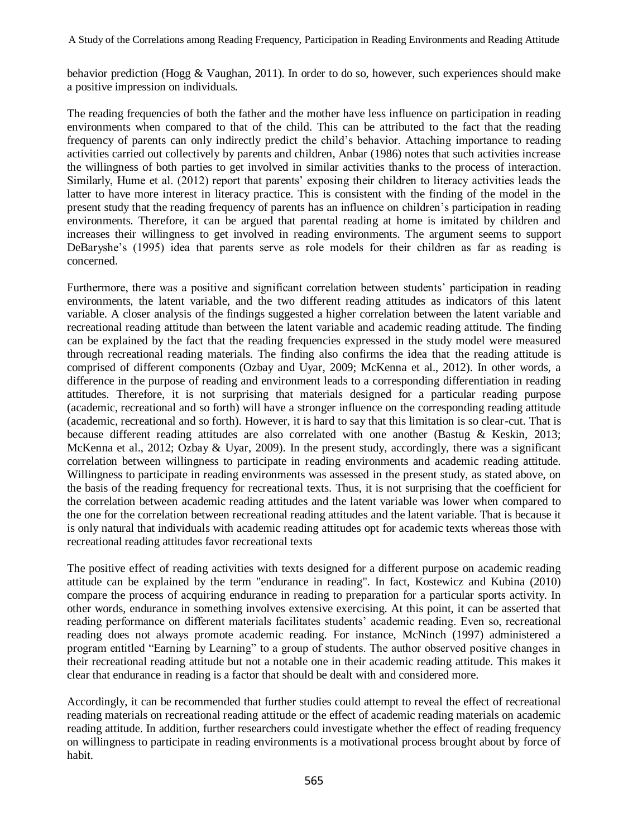behavior prediction (Hogg & Vaughan, 2011). In order to do so, however, such experiences should make a positive impression on individuals.

The reading frequencies of both the father and the mother have less influence on participation in reading environments when compared to that of the child. This can be attributed to the fact that the reading frequency of parents can only indirectly predict the child"s behavior. Attaching importance to reading activities carried out collectively by parents and children, Anbar (1986) notes that such activities increase the willingness of both parties to get involved in similar activities thanks to the process of interaction. Similarly, Hume et al. (2012) report that parents" exposing their children to literacy activities leads the latter to have more interest in literacy practice. This is consistent with the finding of the model in the present study that the reading frequency of parents has an influence on children"s participation in reading environments. Therefore, it can be argued that parental reading at home is imitated by children and increases their willingness to get involved in reading environments. The argument seems to support DeBaryshe's (1995) idea that parents serve as role models for their children as far as reading is concerned.

Furthermore, there was a positive and significant correlation between students" participation in reading environments, the latent variable, and the two different reading attitudes as indicators of this latent variable. A closer analysis of the findings suggested a higher correlation between the latent variable and recreational reading attitude than between the latent variable and academic reading attitude. The finding can be explained by the fact that the reading frequencies expressed in the study model were measured through recreational reading materials. The finding also confirms the idea that the reading attitude is comprised of different components (Ozbay and Uyar, 2009; McKenna et al., 2012). In other words, a difference in the purpose of reading and environment leads to a corresponding differentiation in reading attitudes. Therefore, it is not surprising that materials designed for a particular reading purpose (academic, recreational and so forth) will have a stronger influence on the corresponding reading attitude (academic, recreational and so forth). However, it is hard to say that this limitation is so clear-cut. That is because different reading attitudes are also correlated with one another (Bastug & Keskin, 2013; McKenna et al., 2012; Ozbay & Uyar, 2009). In the present study, accordingly, there was a significant correlation between willingness to participate in reading environments and academic reading attitude. Willingness to participate in reading environments was assessed in the present study, as stated above, on the basis of the reading frequency for recreational texts. Thus, it is not surprising that the coefficient for the correlation between academic reading attitudes and the latent variable was lower when compared to the one for the correlation between recreational reading attitudes and the latent variable. That is because it is only natural that individuals with academic reading attitudes opt for academic texts whereas those with recreational reading attitudes favor recreational texts

The positive effect of reading activities with texts designed for a different purpose on academic reading attitude can be explained by the term "endurance in reading". In fact, Kostewicz and Kubina (2010) compare the process of acquiring endurance in reading to preparation for a particular sports activity. In other words, endurance in something involves extensive exercising. At this point, it can be asserted that reading performance on different materials facilitates students" academic reading. Even so, recreational reading does not always promote academic reading. For instance, McNinch (1997) administered a program entitled "Earning by Learning" to a group of students. The author observed positive changes in their recreational reading attitude but not a notable one in their academic reading attitude. This makes it clear that endurance in reading is a factor that should be dealt with and considered more.

Accordingly, it can be recommended that further studies could attempt to reveal the effect of recreational reading materials on recreational reading attitude or the effect of academic reading materials on academic reading attitude. In addition, further researchers could investigate whether the effect of reading frequency on willingness to participate in reading environments is a motivational process brought about by force of habit.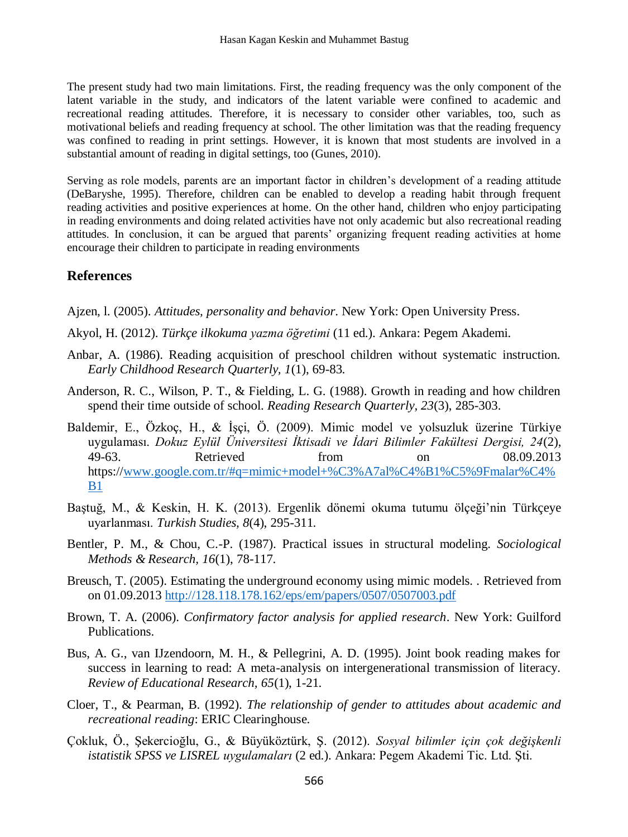The present study had two main limitations. First, the reading frequency was the only component of the latent variable in the study, and indicators of the latent variable were confined to academic and recreational reading attitudes. Therefore, it is necessary to consider other variables, too, such as motivational beliefs and reading frequency at school. The other limitation was that the reading frequency was confined to reading in print settings. However, it is known that most students are involved in a substantial amount of reading in digital settings, too (Gunes, 2010).

Serving as role models, parents are an important factor in children"s development of a reading attitude (DeBaryshe, 1995). Therefore, children can be enabled to develop a reading habit through frequent reading activities and positive experiences at home. On the other hand, children who enjoy participating in reading environments and doing related activities have not only academic but also recreational reading attitudes. In conclusion, it can be argued that parents' organizing frequent reading activities at home encourage their children to participate in reading environments

## **References**

Ajzen, l. (2005). *Attitudes, personality and behavior*. New York: Open University Press.

- Akyol, H. (2012). *Türkçe ilkokuma yazma öğretimi* (11 ed.). Ankara: Pegem Akademi.
- Anbar, A. (1986). Reading acquisition of preschool children without systematic instruction. *Early Childhood Research Quarterly, 1*(1), 69-83.
- Anderson, R. C., Wilson, P. T., & Fielding, L. G. (1988). Growth in reading and how children spend their time outside of school. *Reading Research Quarterly, 23*(3), 285-303.
- Baldemir, E., Özkoç, H., & İşçi, Ö. (2009). Mimic model ve yolsuzluk üzerine Türkiye uygulaması. *Dokuz Eylül Üniversitesi İktisadi ve İdari Bilimler Fakültesi Dergisi, 24*(2), 49-63. Retrieved from on 08.09.2013 https:/[/www.google.com.tr/#q=mimic+model+%C3%A7al%C4%B1%C5%9Fmalar%C4%](http://www.google.com.tr/#q=mimic+model+%C3%A7al%C4%B1%C5%9Fmalar%C4%B1) [B1](http://www.google.com.tr/#q=mimic+model+%C3%A7al%C4%B1%C5%9Fmalar%C4%B1)
- Baştuğ, M., & Keskin, H. K. (2013). Ergenlik dönemi okuma tutumu ölçeği"nin Türkçeye uyarlanması. *Turkish Studies, 8*(4), 295-311.
- Bentler, P. M., & Chou, C.-P. (1987). Practical issues in structural modeling. *Sociological Methods & Research, 16*(1), 78-117.
- Breusch, T. (2005). Estimating the underground economy using mimic models. . Retrieved from on 01.09.2013 <http://128.118.178.162/eps/em/papers/0507/0507003.pdf>
- <span id="page-6-0"></span>Brown, T. A. (2006). *Confirmatory factor analysis for applied research*. New York: Guilford Publications.
- Bus, A. G., van IJzendoorn, M. H., & Pellegrini, A. D. (1995). Joint book reading makes for success in learning to read: A meta-analysis on intergenerational transmission of literacy. *Review of Educational Research, 65*(1), 1-21.
- Cloer, T., & Pearman, B. (1992). *The relationship of gender to attitudes about academic and recreational reading*: ERIC Clearinghouse.
- <span id="page-6-1"></span>Çokluk, Ö., Şekercioğlu, G., & Büyüköztürk, Ş. (2012). *Sosyal bilimler için çok değişkenli istatistik SPSS ve LISREL uygulamaları* (2 ed.). Ankara: Pegem Akademi Tic. Ltd. Şti.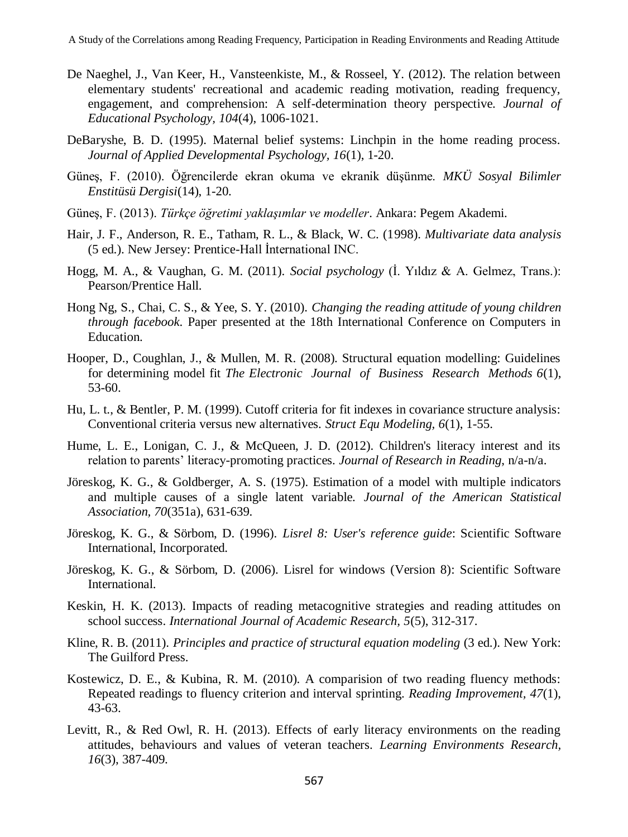- De Naeghel, J., Van Keer, H., Vansteenkiste, M., & Rosseel, Y. (2012). The relation between elementary students' recreational and academic reading motivation, reading frequency, engagement, and comprehension: A self-determination theory perspective. *Journal of Educational Psychology, 104*(4), 1006-1021.
- DeBaryshe, B. D. (1995). Maternal belief systems: Linchpin in the home reading process. *Journal of Applied Developmental Psychology, 16*(1), 1-20.
- Güneş, F. (2010). Öğrencilerde ekran okuma ve ekranik düşünme. *MKÜ Sosyal Bilimler Enstitüsü Dergisi*(14), 1-20.
- Güneş, F. (2013). *Türkçe öğretimi yaklaşımlar ve modeller*. Ankara: Pegem Akademi.
- Hair, J. F., Anderson, R. E., Tatham, R. L., & Black, W. C. (1998). *Multivariate data analysis* (5 ed.). New Jersey: Prentice-Hall İnternational INC.
- Hogg, M. A., & Vaughan, G. M. (2011). *Social psychology* (İ. Yıldız & A. Gelmez, Trans.): Pearson/Prentice Hall.
- Hong Ng, S., Chai, C. S., & Yee, S. Y. (2010). *Changing the reading attitude of young children through facebook*. Paper presented at the 18th International Conference on Computers in Education.
- <span id="page-7-0"></span>Hooper, D., Coughlan, J., & Mullen, M. R. (2008). Structural equation modelling: Guidelines for determining model fit *The Electronic Journal of Business Research Methods 6*(1), 53-60.
- <span id="page-7-1"></span>Hu, L. t., & Bentler, P. M. (1999). Cutoff criteria for fit indexes in covariance structure analysis: Conventional criteria versus new alternatives. *Struct Equ Modeling, 6*(1), 1-55.
- Hume, L. E., Lonigan, C. J., & McOueen, J. D. (2012). Children's literacy interest and its relation to parents" literacy-promoting practices. *Journal of Research in Reading*, n/a-n/a.
- Jöreskog, K. G., & Goldberger, A. S. (1975). Estimation of a model with multiple indicators and multiple causes of a single latent variable. *Journal of the American Statistical Association, 70*(351a), 631-639.
- <span id="page-7-2"></span>Jöreskog, K. G., & Sörbom, D. (1996). *Lisrel 8: User's reference guide*: Scientific Software International, Incorporated.
- Jöreskog, K. G., & Sörbom, D. (2006). Lisrel for windows (Version 8): Scientific Software International.
- Keskin, H. K. (2013). Impacts of reading metacognitive strategies and reading attitudes on school success. *International Journal of Academic Research, 5*(5), 312-317.
- <span id="page-7-3"></span>Kline, R. B. (2011). *Principles and practice of structural equation modeling* (3 ed.). New York: The Guilford Press.
- Kostewicz, D. E., & Kubina, R. M. (2010). A comparision of two reading fluency methods: Repeated readings to fluency criterion and interval sprinting. *Reading Improvement, 47*(1), 43-63.
- Levitt, R., & Red Owl, R. H. (2013). Effects of early literacy environments on the reading attitudes, behaviours and values of veteran teachers. *Learning Environments Research, 16*(3), 387-409.